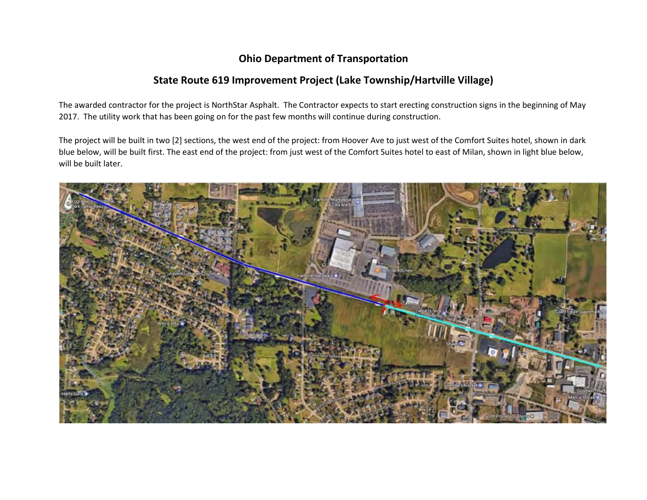## **Ohio Department of Transportation**

## **State Route 619 Improvement Project (Lake Township/Hartville Village)**

The awarded contractor for the project is NorthStar Asphalt. The Contractor expects to start erecting construction signs in the beginning of May 2017. The utility work that has been going on for the past few months will continue during construction.

The project will be built in two [2] sections, the west end of the project: from Hoover Ave to just west of the Comfort Suites hotel, shown in dark blue below, will be built first. The east end of the project: from just west of the Comfort Suites hotel to east of Milan, shown in light blue below, will be built later.